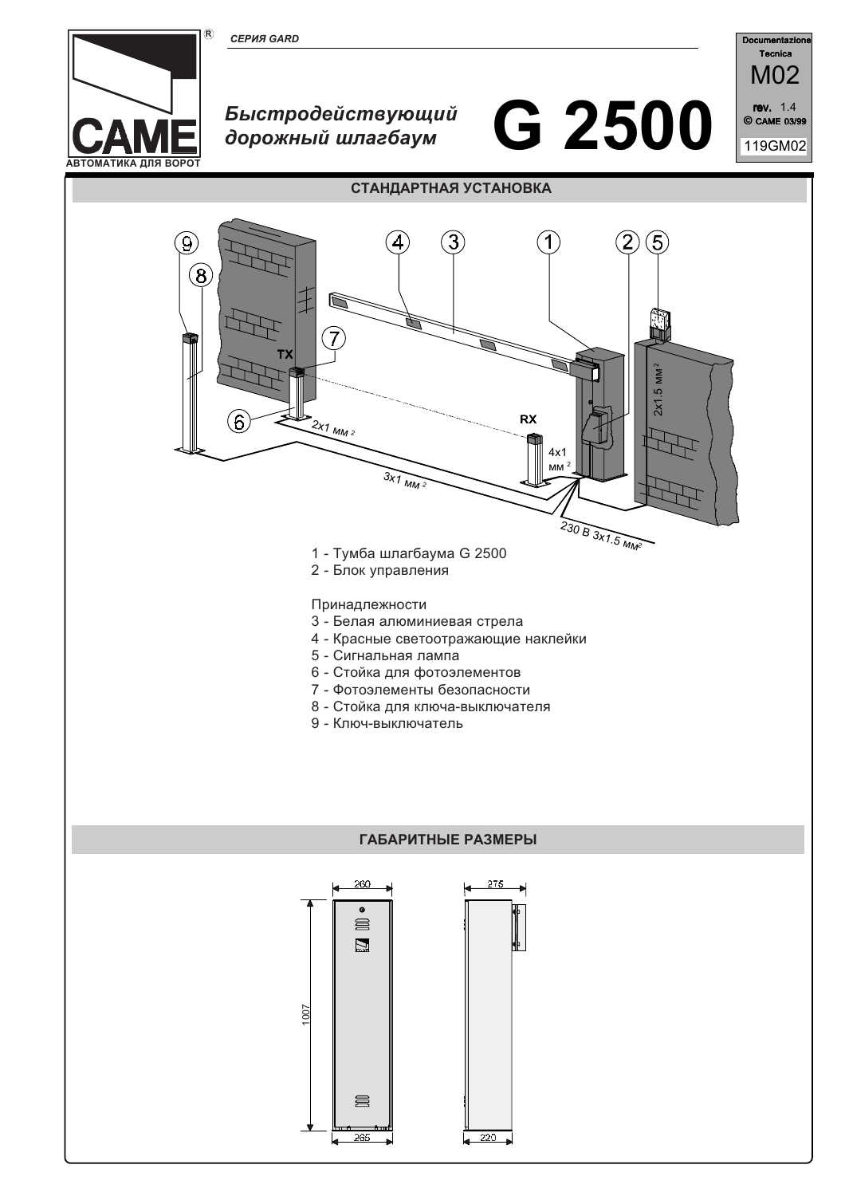



# Быстродействующий дорожный шлагбаум





# СТАНДАРТНАЯ УСТАНОВКА



- 5 Сигнальная лампа
- 6 Стойка для фотоэлементов
- 7 Фотоэлементы безопасности
- 8 Стойка для ключа-выключателя
- 9 Ключ-выключатель

#### ГАБАРИТНЫЕ РАЗМЕРЫ

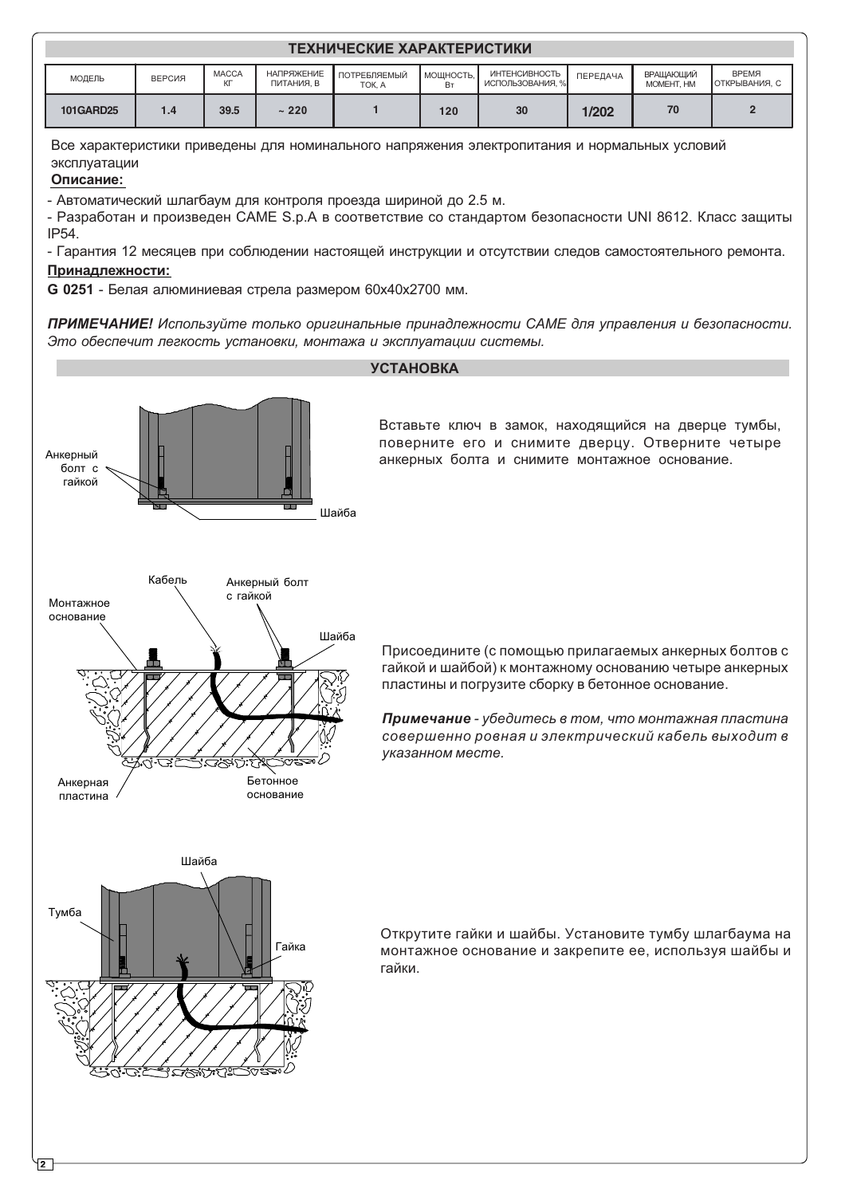| ТЕХНИЧЕСКИЕ ХАРАКТЕРИСТИКИ |        |                    |                                 |                        |                 |                                          |                 |                                |                               |
|----------------------------|--------|--------------------|---------------------------------|------------------------|-----------------|------------------------------------------|-----------------|--------------------------------|-------------------------------|
| МОДЕЛЬ                     | ВЕРСИЯ | <b>MACCA</b><br>КГ | <b>НАПРЯЖЕНИЕ</b><br>ПИТАНИЯ. В | ПОТРЕБЛЯЕМЫЙ<br>TOK. A | МОЩНОСТЬ,<br>Bт | <b>ИНТЕНСИВНОСТЬ</b><br>ИСПОЛЬЗОВАНИЯ, % | <b>ПЕРЕДАЧА</b> | <b>ВРАШАЮШИЙ</b><br>MOMEHT. HM | <b>BPEMS</b><br>ОТКРЫВАНИЯ, С |
| <b>101GARD25</b>           | 1.4    | 39.5               | ~220                            |                        | 120             | 30                                       | 1/202           | 70                             | 2                             |

Все характеристики приведены для номинального напряжения электропитания и нормальных условий эксплуатации

# Описание:

- Автоматический шлагбаум для контроля проезда шириной до 2.5 м.

- Разработан и произведен CAME S.p.A в соответствие со стандартом безопасности UNI 8612. Класс защиты IP54.

Принадлежности: - Гарантия 12 месяцев при соблюдении настоящей инструкции и отсутствии следов самостоятельного ремонта.

G 0251 - Белая алюминиевая стрела размером 60х40х2700 мм.

ПРИМЕЧАНИЕ! Используйте только оригинальные принадлежности САМЕ для управления и безопасности. Это обеспечит легкость установки, монтажа и эксплуатации системы.

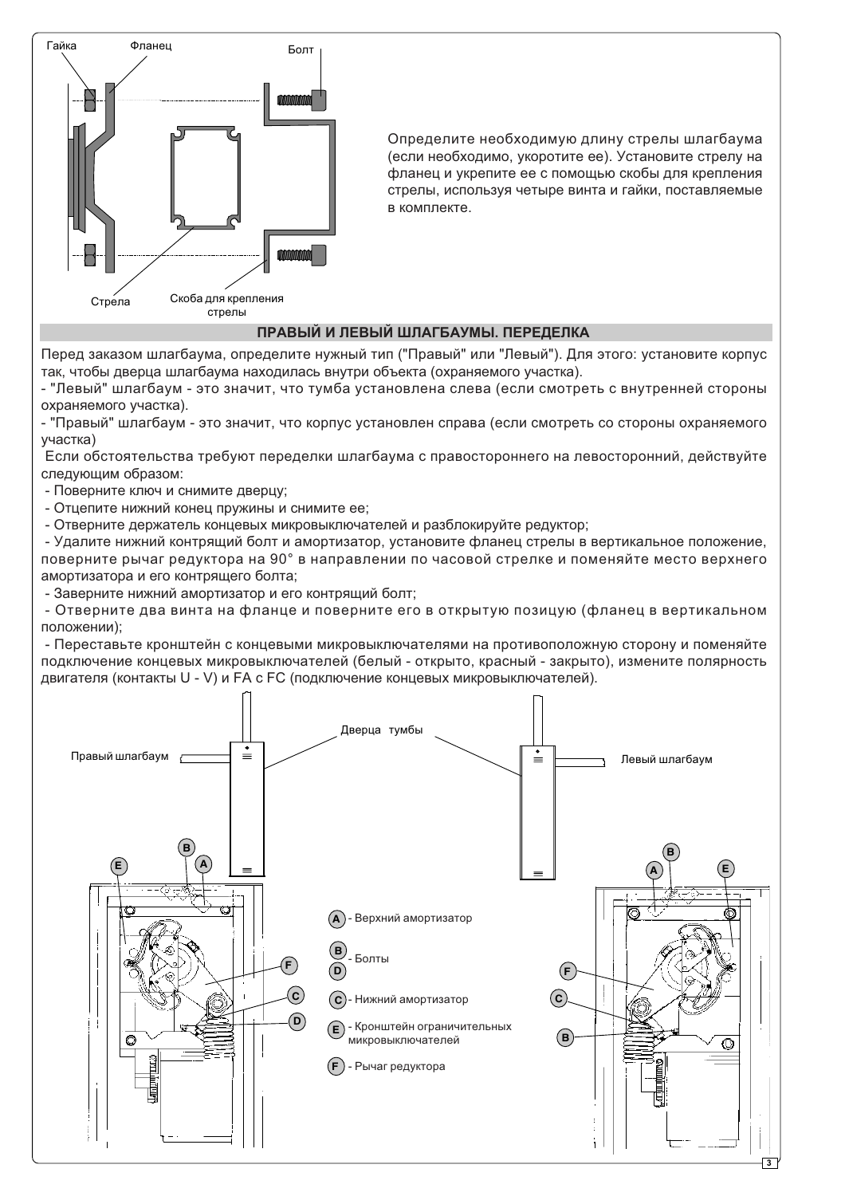

Определите необходимую длину стрелы шлагбаума (если необходимо, укоротите ее). Установите стрелу на фланец и укрепите ее с помощью скобы для крепления стрелы, используя четыре винта и гайки, поставляемые в комплекте.

#### ПРАВЫЙ И ЛЕВЫЙ ШЛАГБАУМЫ, ПЕРЕДЕЛКА

Перед заказом шлагбаума, определите нужный тип ("Правый" или "Левый"). Для этого: установите корпус так, чтобы дверца шлагбаума находилась внутри объекта (охраняемого участка).

- "Левый" шлагбаум - это значит, что тумба установлена слева (если смотреть с внутренней стороны охраняемого участка).

- "Правый" шлагбаум - это значит, что корпус установлен справа (если смотреть со стороны охраняемого γчастка)

Если обстоятельства требуют переделки шлагбаума с правостороннего на левосторонний, действуйте следующим образом:

- Поверните ключ и снимите дверцу:
- Отцепите нижний конец пружины и снимите ее;

- Отверните держатель концевых микровыключателей и разблокируйте редуктор:

- Удалите нижний контрящий болт и амортизатор, установите фланец стрелы в вертикальное положение, поверните рычаг редуктора на 90° в направлении по часовой стрелке и поменяйте место верхнего амортизатора и его контрящего болта;

- Заверните нижний амортизатор и его контрящий болт;

- Отверните два винта на фланце и поверните его в открытую позицую (фланец в вертикальном положении);

- Переставьте кронштейн с концевыми микровыключателями на противоположную сторону и поменяйте подключение концевых микровыключателей (белый - открыто, красный - закрыто), измените полярность двигателя (контакты U - V) и FA с FC (подключение концевых микровыключателей).

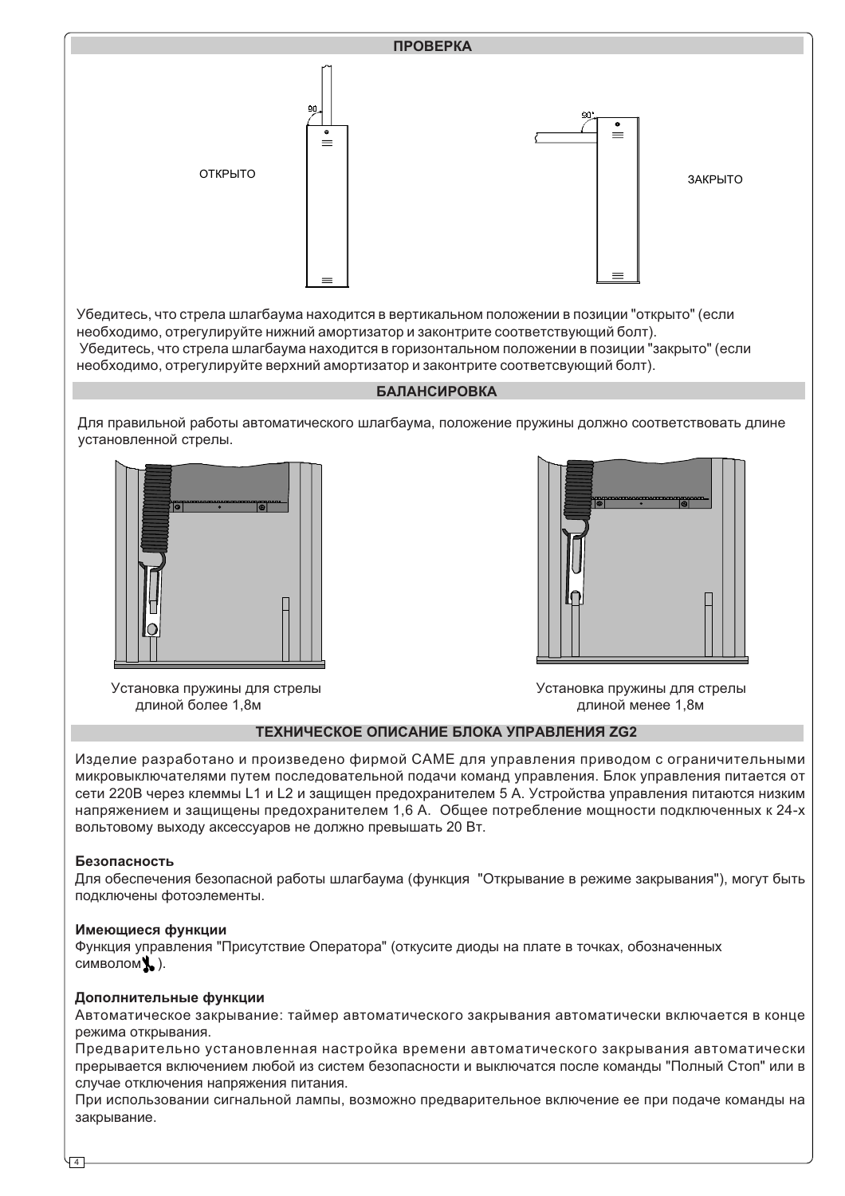

Убедитесь, что стрела шлагбаума находится в вертикальном положении в позиции "открыто" (если необходимо, отрегулируйте нижний амортизатор и законтрите соответствующий болт). Убедитесь, что стрела шлагбаума находится в горизонтальном положении в позиции "закрыто" (если необходимо, отрегулируйте верхний амортизатор и законтрите соответсвующий болт).

### **БАЛАНСИРОВКА**

Для правильной работы автоматического шлагбаума, положение пружины должно соответствовать длине установленной стрелы.





длиной более 1,8м и проставляет с тема и против с тема и при длиной менее 1,8м

Установка пружины для стрелы и повестать и техновка пружины для стрелы

#### ТЕХНИЧЕСКОЕ ОПИСАНИЕ БЛОКА УПРАВЛЕНИЯ ZG2

Изделие разработано и произведено фирмой САМЕ для управления приводом с ограничительными микровыключателями путем последовательной подачи команд управления. Блок управления питается от сети 220В через клеммы L1 и L2 и защищен предохранителем 5 А. Устройства управления питаются низким напряжением и защищены предохранителем 1,6 А. Общее потребление мощности подключенных к 24-х вольтовому выходу аксессуаров не должно превышать 20 Вт.

#### **Безопасность**

Для обеспечения безопасной работы шлагбаума (функция "Открывание в режиме закрывания"), могут быть подключены фотоэлементы.

#### Имеющиеся функции

Функция управления "Присутствие Оператора" (откусите диоды на плате в точках, обозначенных  $c$ имволом $\blacklozenge$ .).

#### Дополнительные функции

Автоматическое закрывание: таймер автоматического закрывания автоматически включается в конце режима открывания.

Предварительно установленная настройка времени автоматического закрывания автоматически прерывается включением любой из систем безопасности и выключатся после команды "Полный Стоп" или в случае отключения напряжения питания.

При использовании сигнальной лампы, возможно предварительное включение ее при подаче команды на закрывание.

4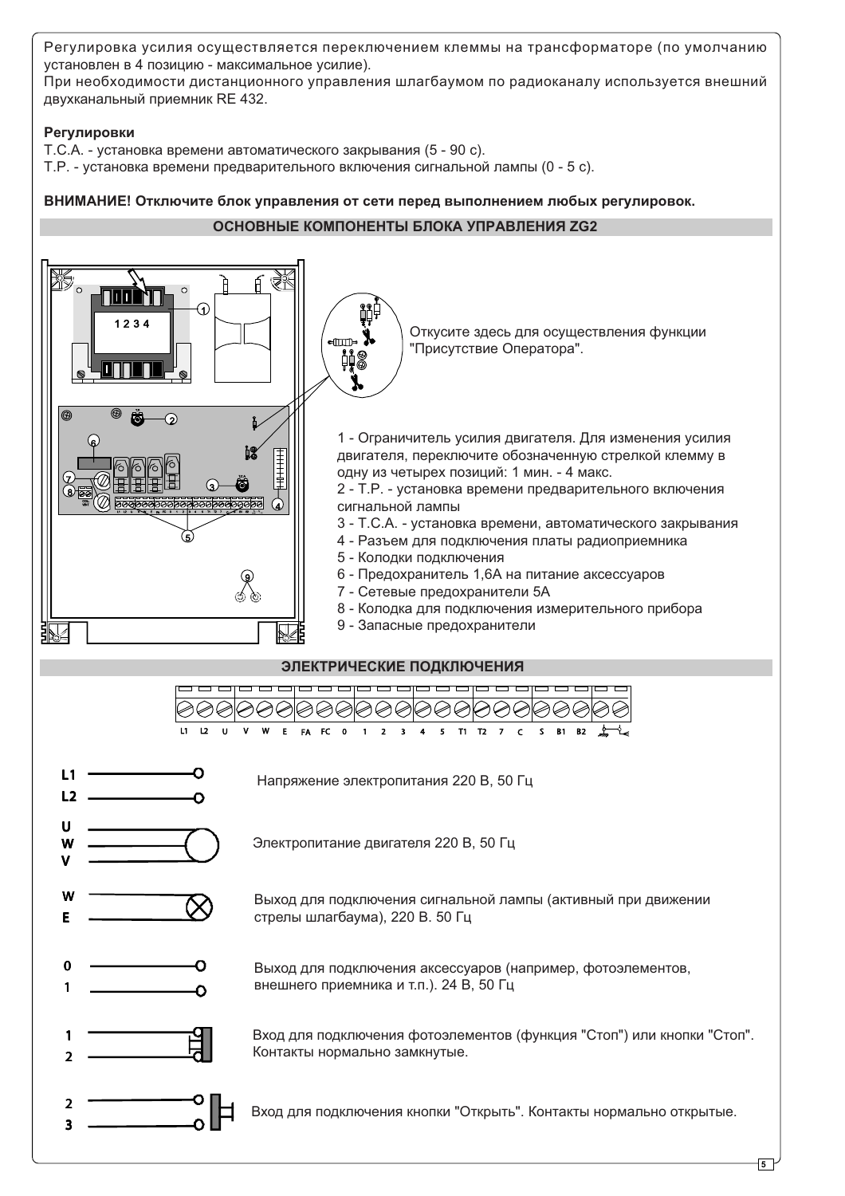Регулировка усилия осуществляется переключением клеммы на трансформаторе (по умолчанию установлен в 4 позицию - максимальное усилие).

При необходимости дистанционного управления шлагбаумом по радиоканалу используется внешний двухканальный приемник RE 432.

## Регулировки

 $T.C.A.$  - установка времени автоматического закрывания (5 - 90 с).

Т.Р. - установка времени предварительного включения сигнальной лампы (0 - 5 с).

ВНИМАНИЕ! Отключите блок управления от сети перед выполнением любых регулировок.

## **ОСНОВНЫЕ КОМПОНЕНТЫ БЛОКА УПРАВЛЕНИЯ ZG2**